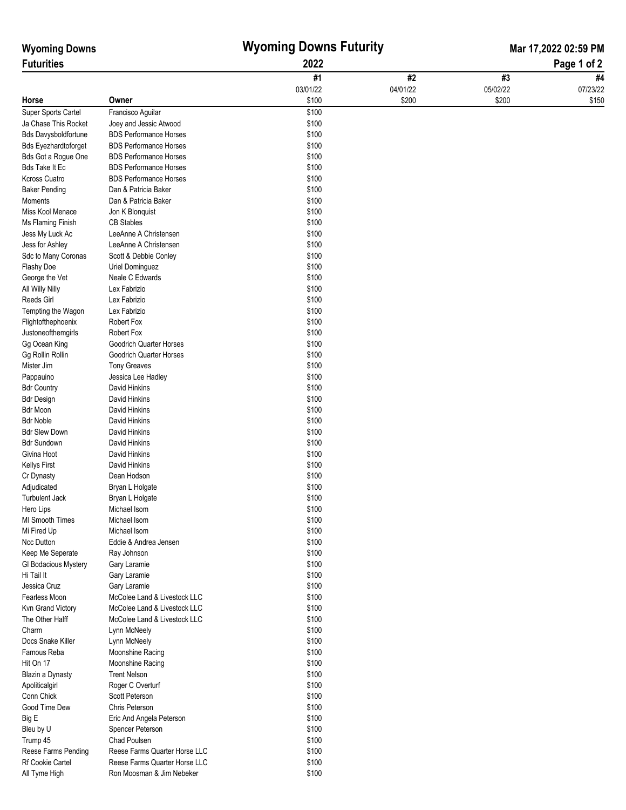| <b>Wyoming Downs</b><br><b>Futurities</b> |                                | <b>Wyoming Downs Futurity</b><br>2022 |          | Mar 17,2022 02:59 PM<br>Page 1 of 2 |          |
|-------------------------------------------|--------------------------------|---------------------------------------|----------|-------------------------------------|----------|
|                                           |                                |                                       |          |                                     |          |
|                                           |                                | 03/01/22                              | 04/01/22 | 05/02/22                            | 07/23/22 |
| Horse                                     | Owner                          | \$100                                 | \$200    | \$200                               | \$150    |
| Super Sports Cartel                       | Francisco Aguilar              | \$100                                 |          |                                     |          |
| Ja Chase This Rocket                      | Joey and Jessic Atwood         | \$100                                 |          |                                     |          |
| <b>Bds Davysboldfortune</b>               | <b>BDS Performance Horses</b>  | \$100                                 |          |                                     |          |
| <b>Bds Eyezhardtoforget</b>               | <b>BDS Performance Horses</b>  | \$100                                 |          |                                     |          |
| Bds Got a Rogue One                       | <b>BDS Performance Horses</b>  | \$100                                 |          |                                     |          |
| <b>Bds Take It Ec</b>                     | <b>BDS Performance Horses</b>  | \$100                                 |          |                                     |          |
| <b>Kcross Cuatro</b>                      | <b>BDS Performance Horses</b>  | \$100                                 |          |                                     |          |
| <b>Baker Pending</b>                      | Dan & Patricia Baker           | \$100                                 |          |                                     |          |
| Moments                                   | Dan & Patricia Baker           | \$100                                 |          |                                     |          |
| Miss Kool Menace                          | Jon K Blonquist                | \$100                                 |          |                                     |          |
| Ms Flaming Finish                         | <b>CB Stables</b>              | \$100                                 |          |                                     |          |
| Jess My Luck Ac                           | LeeAnne A Christensen          | \$100                                 |          |                                     |          |
| Jess for Ashley                           | LeeAnne A Christensen          | \$100                                 |          |                                     |          |
| Sdc to Many Coronas                       | Scott & Debbie Conley          | \$100                                 |          |                                     |          |
| Flashy Doe                                | Uriel Dominguez                | \$100                                 |          |                                     |          |
| George the Vet                            | Neale C Edwards                | \$100                                 |          |                                     |          |
| All Willy Nilly                           | Lex Fabrizio                   | \$100                                 |          |                                     |          |
| Reeds Girl                                | Lex Fabrizio                   | \$100                                 |          |                                     |          |
| Tempting the Wagon                        | Lex Fabrizio                   | \$100                                 |          |                                     |          |
| Flightofthephoenix                        | Robert Fox                     | \$100                                 |          |                                     |          |
| Justoneofthemgirls                        | Robert Fox                     | \$100                                 |          |                                     |          |
| Gg Ocean King                             | Goodrich Quarter Horses        | \$100                                 |          |                                     |          |
| Gg Rollin Rollin                          | Goodrich Quarter Horses        | \$100                                 |          |                                     |          |
| Mister Jim                                | <b>Tony Greaves</b>            | \$100                                 |          |                                     |          |
| Pappauino                                 | Jessica Lee Hadley             | \$100                                 |          |                                     |          |
| <b>Bdr Country</b>                        | David Hinkins                  | \$100                                 |          |                                     |          |
| <b>Bdr Design</b>                         | David Hinkins                  | \$100                                 |          |                                     |          |
| <b>Bdr Moon</b><br><b>Bdr Noble</b>       | David Hinkins                  | \$100                                 |          |                                     |          |
| <b>Bdr Slew Down</b>                      | David Hinkins<br>David Hinkins | \$100<br>\$100                        |          |                                     |          |
| <b>Bdr Sundown</b>                        | David Hinkins                  | \$100                                 |          |                                     |          |
| Givina Hoot                               | David Hinkins                  | \$100                                 |          |                                     |          |
| <b>Kellys First</b>                       | David Hinkins                  | \$100                                 |          |                                     |          |
| Cr Dynasty                                | Dean Hodson                    | \$100                                 |          |                                     |          |
| Adjudicated                               | Bryan L Holgate                | \$100                                 |          |                                     |          |
| <b>Turbulent Jack</b>                     | Bryan L Holgate                | \$100                                 |          |                                     |          |
| Hero Lips                                 | Michael Isom                   | \$100                                 |          |                                     |          |
| MI Smooth Times                           | Michael Isom                   | \$100                                 |          |                                     |          |
| Mi Fired Up                               | Michael Isom                   | \$100                                 |          |                                     |          |
| Ncc Dutton                                | Eddie & Andrea Jensen          | \$100                                 |          |                                     |          |
| Keep Me Seperate                          | Ray Johnson                    | \$100                                 |          |                                     |          |
| GI Bodacious Mystery                      | Gary Laramie                   | \$100                                 |          |                                     |          |
| Hi Tail It                                | Gary Laramie                   | \$100                                 |          |                                     |          |
| Jessica Cruz                              | Gary Laramie                   | \$100                                 |          |                                     |          |
| Fearless Moon                             | McColee Land & Livestock LLC   | \$100                                 |          |                                     |          |
| Kvn Grand Victory                         | McColee Land & Livestock LLC   | \$100                                 |          |                                     |          |
| The Other Halff                           | McColee Land & Livestock LLC   | \$100                                 |          |                                     |          |
| Charm                                     | Lynn McNeely                   | \$100                                 |          |                                     |          |
| Docs Snake Killer                         | Lynn McNeely                   | \$100                                 |          |                                     |          |
| Famous Reba                               | Moonshine Racing               | \$100                                 |          |                                     |          |
| Hit On 17                                 | Moonshine Racing               | \$100                                 |          |                                     |          |
| Blazin a Dynasty                          | <b>Trent Nelson</b>            | \$100                                 |          |                                     |          |
| Apoliticalgirl                            | Roger C Overturf               | \$100                                 |          |                                     |          |
| Conn Chick                                | Scott Peterson                 | \$100                                 |          |                                     |          |
| Good Time Dew                             | Chris Peterson                 | \$100                                 |          |                                     |          |
| Big E                                     | Eric And Angela Peterson       | \$100                                 |          |                                     |          |
| Bleu by U                                 | Spencer Peterson               | \$100                                 |          |                                     |          |
| Trump 45                                  | Chad Poulsen                   | \$100                                 |          |                                     |          |
| Reese Farms Pending                       | Reese Farms Quarter Horse LLC  | \$100                                 |          |                                     |          |
| Rf Cookie Cartel                          | Reese Farms Quarter Horse LLC  | \$100                                 |          |                                     |          |
| All Tyme High                             | Ron Moosman & Jim Nebeker      | \$100                                 |          |                                     |          |